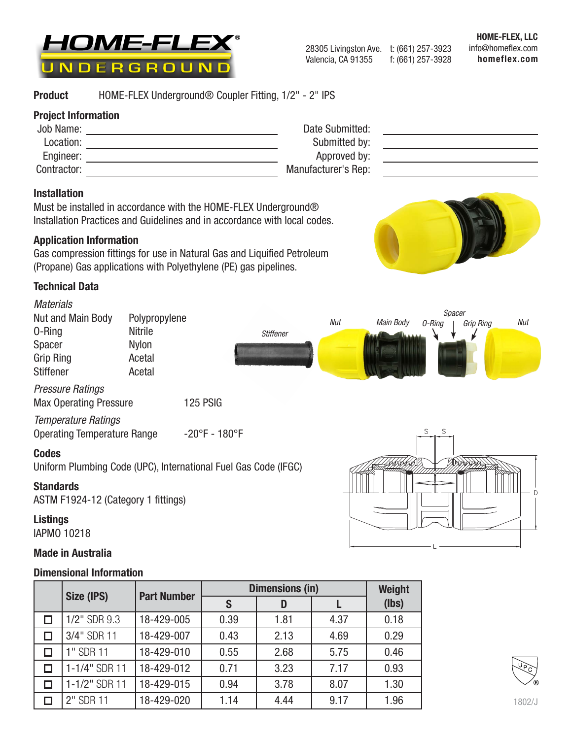

HOME-FLEX, LLC info@homeflex.com homeflex.com

## Product HOME-FLEX Underground® Coupler Fitting, 1/2" - 2" IPS

### Project Information

| Job Name:   | Date Submitted:     |  |
|-------------|---------------------|--|
| Location:   | Submitted by:       |  |
| Engineer:   | Approved by:        |  |
| Contractor: | Manufacturer's Rep: |  |

#### Installation

Must be installed in accordance with the HOME-FLEX Underground® Installation Practices and Guidelines and in accordance with local codes.

### Application Information

Gas compression fittings for use in Natural Gas and Liquified Petroleum (Propane) Gas applications with Polyethylene (PE) gas pipelines.

### Technical Data

 $\Box$  $\Box$  $\Box$  $\Box$  $\Box$ П



1/2" SDR 9.3 18-429-005 0.39 1 1.81 4.37 0.18  $3/4$ " SDR 11 | 18-429-007 | 0.43 | 2.13 | 4.69 | 0.29 1" SDR 11 | 18-429-010 | 0.55 | 2.68 | 5.75 | 0.46 1-1/4" SDR 11 | 18-429-012 | 0.71 | 3.23 | 7.17 | 0.93 1-1/2" SDR 11 | 18-429-015 | 0.94 | 3.78 | 8.07 | 1.30 2" SDR 11 | 18-429-020 | 1.14 | 4.44 | 9.17 | 1.96

| B) |  |
|----|--|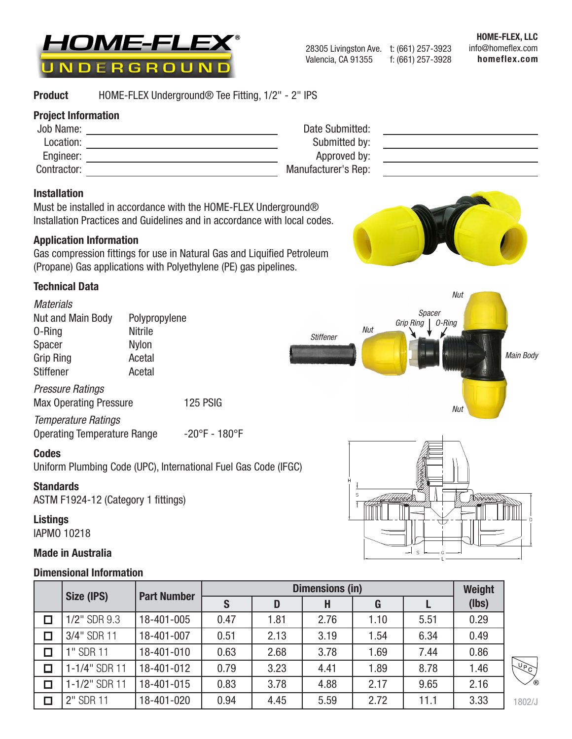

#### Product HOME-FLEX Underground® Tee Fitting, 1/2" - 2" IPS

## Project Information

| Job Name:   | Date Submitted:     |
|-------------|---------------------|
| Location:   | Submitted by:       |
| Engineer:   | Approved by:        |
| Contractor: | Manufacturer's Rep: |
|             |                     |

## Installation

Must be installed in accordance with the HOME-FLEX Underground® Installation Practices and Guidelines and in accordance with local codes.

## Application Information

Gas compression fittings for use in Natural Gas and Liquified Petroleum (Propane) Gas applications with Polyethylene (PE) gas pipelines.

## Technical Data



## Made in Australia

|   | Size (IPS)    |                    | Weight |      |      |      |      |       |
|---|---------------|--------------------|--------|------|------|------|------|-------|
|   |               | <b>Part Number</b> | S      | D    | H    | G    |      | (lbs) |
|   | 1/2" SDR 9.3  | 18-401-005         | 0.47   | 1.81 | 2.76 | 1.10 | 5.51 | 0.29  |
| Ω | 3/4" SDR 11   | 18-401-007         | 0.51   | 2.13 | 3.19 | 1.54 | 6.34 | 0.49  |
| σ | 1" SDR 11     | 18-401-010         | 0.63   | 2.68 | 3.78 | 1.69 | 7.44 | 0.86  |
| □ | 1-1/4" SDR 11 | 18-401-012         | 0.79   | 3.23 | 4.41 | 1.89 | 8.78 | 1.46  |
| σ | 1-1/2" SDR 11 | 18-401-015         | 0.83   | 3.78 | 4.88 | 2.17 | 9.65 | 2.16  |
| □ | 2" SDR 11     | 18-401-020         | 0.94   | 4.45 | 5.59 | 2.72 | 11.1 | 3.33  |

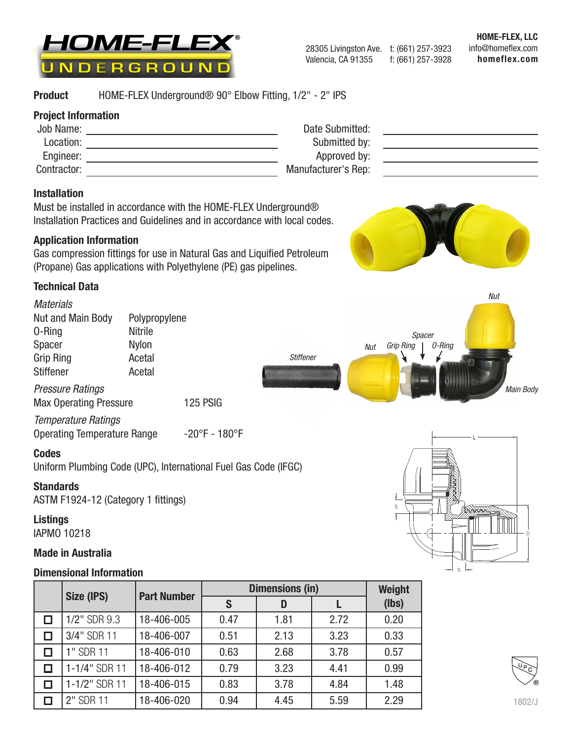

HOME-FLEX, LLC info@homeflex.com homeflex.com

#### Product HOME-FLEX Underground® 90° Elbow Fitting, 1/2" - 2" IPS

### Project Information

| Job Name:   | Date Submitted:     |  |
|-------------|---------------------|--|
| Location:   | Submitted by:       |  |
| Engineer:   | Approved by:        |  |
| Contractor: | Manufacturer's Rep: |  |

#### Installation

Must be installed in accordance with the HOME-FLEX Underground® Installation Practices and Guidelines and in accordance with local codes.

### Application Information

Gas compression fittings for use in Natural Gas and Liquified Petroleum (Propane) Gas applications with Polyethylene (PE) gas pipelines.

### Technical Data



|   | Size (IPS)<br><b>Part Number</b> |            | <b>Dimensions (in)</b> | Weight |      |       |
|---|----------------------------------|------------|------------------------|--------|------|-------|
|   |                                  |            |                        | D      |      | (lbs) |
| □ | 1/2" SDR 9.3                     | 18-406-005 | 0.47                   | 1.81   | 2.72 | 0.20  |
| □ | 3/4" SDR 11                      | 18-406-007 | 0.51                   | 2.13   | 3.23 | 0.33  |
| □ | 1" SDR 11                        | 18-406-010 | 0.63                   | 2.68   | 3.78 | 0.57  |
| □ | 1-1/4" SDR 11                    | 18-406-012 | 0.79                   | 3.23   | 4.41 | 0.99  |
| □ | 1-1/2" SDR 11                    | 18-406-015 | 0.83                   | 3.78   | 4.84 | 1.48  |
| □ | 2" SDR 11                        | 18-406-020 | 0.94                   | 4.45   | 5.59 | 2.29  |

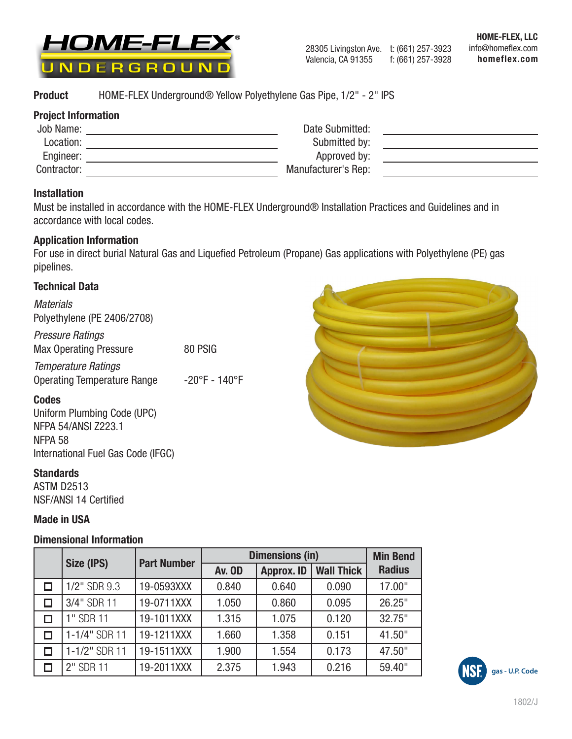

**Product** HOME-FLEX Underground® Yellow Polyethylene Gas Pipe, 1/2" - 2" IPS

## Project Information

| Job Name:   | Date Submitted:     |
|-------------|---------------------|
| Location:   | Submitted by:       |
| Engineer:   | Approved by:        |
| Contractor: | Manufacturer's Rep: |

## Installation

Must be installed in accordance with the HOME-FLEX Underground® Installation Practices and Guidelines and in accordance with local codes.

### Application Information

For use in direct burial Natural Gas and Liquefied Petroleum (Propane) Gas applications with Polyethylene (PE) gas pipelines.

## Technical Data

*Materials* Polyethylene (PE 2406/2708)

*Pressure Ratings* Max Operating Pressure 80 PSIG

*Temperature Ratings* Operating Temperature Range -20°F - 140°F

## Codes

Uniform Plumbing Code (UPC) NFPA 54/ANSI Z223.1 NFPA 58 International Fuel Gas Code (IFGC)

## **Standards**

ASTM D2513 NSF/ANSI 14 Certified

## Made in USA

| Size (IPS)    | <b>Part Number</b> | <b>Dimensions (in)</b> | <b>Min Bend</b>   |                   |               |
|---------------|--------------------|------------------------|-------------------|-------------------|---------------|
|               |                    | <b>Av. OD</b>          | <b>Approx. ID</b> | <b>Wall Thick</b> | <b>Radius</b> |
| 1/2" SDR 9.3  | 19-0593XXX         | 0.840                  | 0.640             | 0.090             | 17.00"        |
| 3/4" SDR 11   | 19-0711XXX         | 1.050                  | 0.860             | 0.095             | 26.25"        |
| 1" SDR 11     | 19-1011XXX         | 1.315                  | 1.075             | 0.120             | 32.75"        |
| 1-1/4" SDR 11 | 19-1211XXX         | 1.660                  | 1.358             | 0.151             | 41.50"        |
| 1-1/2" SDR 11 | 19-1511XXX         | 1.900                  | 1.554             | 0.173             | 47.50"        |
| 2" SDR 11     | 19-2011XXX         | 2.375                  | 1.943             | 0.216             | 59.40"        |



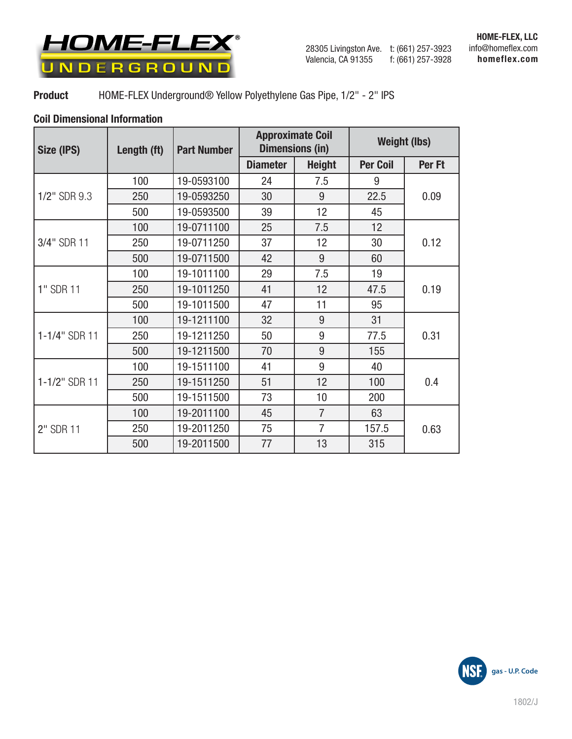

#### Product HOME-FLEX Underground® Yellow Polyethylene Gas Pipe, 1/2" - 2" IPS

| Size (IPS)    | Length (ft) | <b>Part Number</b> | <b>Approximate Coil</b> | <b>Dimensions (in)</b> | <b>Weight (lbs)</b> |        |
|---------------|-------------|--------------------|-------------------------|------------------------|---------------------|--------|
|               |             |                    | <b>Diameter</b>         | <b>Height</b>          | <b>Per Coil</b>     | Per Ft |
|               | 100         | 19-0593100         | 24                      | 7.5                    | 9                   |        |
| 1/2" SDR 9.3  | 250         | 19-0593250         | 30                      | 9                      | 22.5                | 0.09   |
|               | 500         | 19-0593500         | 39                      | 12                     | 45                  |        |
|               | 100         | 19-0711100         | 25                      | 7.5                    | 12                  |        |
| 3/4" SDR 11   | 250         | 19-0711250         | 37                      | 12                     | 30                  | 0.12   |
|               | 500         | 19-0711500         | 42                      | 9                      | 60                  |        |
|               | 100         | 19-1011100         | 29                      | 7.5                    | 19                  |        |
| 1" SDR 11     | 250         | 19-1011250         | 41                      | 12                     | 47.5                | 0.19   |
|               | 500         | 19-1011500         | 47                      | 11                     | 95                  |        |
|               | 100         | 19-1211100         | 32                      | 9                      | 31                  |        |
| 1-1/4" SDR 11 | 250         | 19-1211250         | 50                      | 9                      | 77.5                | 0.31   |
|               | 500         | 19-1211500         | 70                      | 9                      | 155                 |        |
|               | 100         | 19-1511100         | 41                      | 9                      | 40                  |        |
| 1-1/2" SDR 11 | 250         | 19-1511250         | 51                      | 12                     | 100                 | 0.4    |
|               | 500         | 19-1511500         | 73                      | 10                     | 200                 |        |
|               | 100         | 19-2011100         | 45                      | $\overline{7}$         | 63                  |        |
| 2" SDR 11     | 250         | 19-2011250         | 75                      | $\overline{7}$         | 157.5               | 0.63   |
|               | 500         | 19-2011500         | 77                      | 13                     | 315                 |        |

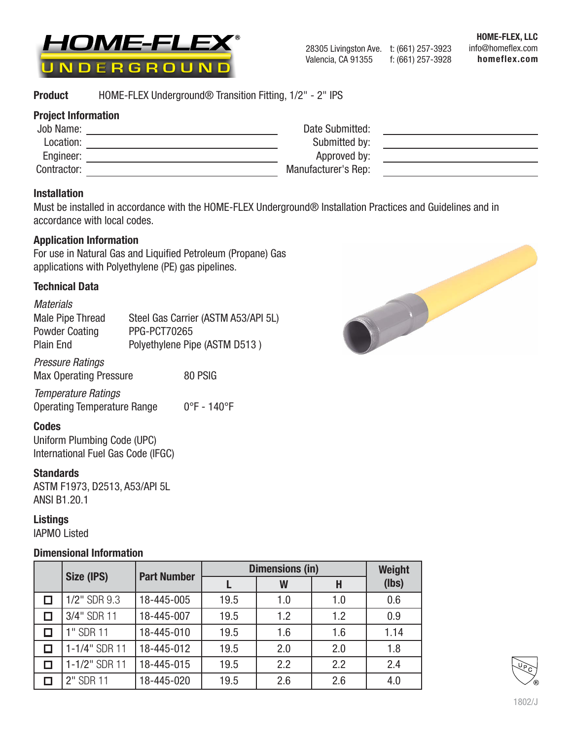

#### Product HOME-FLEX Underground® Transition Fitting, 1/2" - 2" IPS

### Project Information

| Job Name:   | Date Submitted:     |  |
|-------------|---------------------|--|
| Location:   | Submitted by:       |  |
| Engineer:   | Approved by:        |  |
| Contractor: | Manufacturer's Rep: |  |

### Installation

Must be installed in accordance with the HOME-FLEX Underground® Installation Practices and Guidelines and in accordance with local codes.

### Application Information

For use in Natural Gas and Liquified Petroleum (Propane) Gas applications with Polyethylene (PE) gas pipelines.

### Technical Data

| <b>Materials</b>        |                                     |
|-------------------------|-------------------------------------|
| <b>Male Pipe Thread</b> | Steel Gas Carrier (ASTM A53/API 5L) |
| <b>Powder Coating</b>   | <b>PPG-PCT70265</b>                 |
| <b>Plain End</b>        | Polyethylene Pipe (ASTM D513)       |

*Pressure Ratings*

Max Operating Pressure 80 PSIG

*Temperature Ratings* Operating Temperature Range 0°F - 140°F

## Codes

Uniform Plumbing Code (UPC) International Fuel Gas Code (IFGC)

## **Standards**

ASTM F1973, D2513, A53/API 5L ANSI B1.20.1

## Listings

IAPMO Listed

| Size (IPS)    | <b>Part Number</b> |      | <b>Dimensions (in)</b> |     |       |  |
|---------------|--------------------|------|------------------------|-----|-------|--|
|               |                    |      | W                      | Н   | (lbs) |  |
| 1/2" SDR 9.3  | 18-445-005         | 19.5 | 1.0                    | 1.0 | 0.6   |  |
| 3/4" SDR 11   | 18-445-007         | 19.5 | 1.2                    | 1.2 | 0.9   |  |
| 1" SDR 11     | 18-445-010         | 19.5 | 1.6                    | 1.6 | 1.14  |  |
| 1-1/4" SDR 11 | 18-445-012         | 19.5 | 2.0                    | 2.0 | 1.8   |  |
| 1-1/2" SDR 11 | 18-445-015         | 19.5 | 2.2                    | 2.2 | 2.4   |  |
| 2" SDR 11     | 18-445-020         | 19.5 | 2.6                    | 2.6 | 4.0   |  |